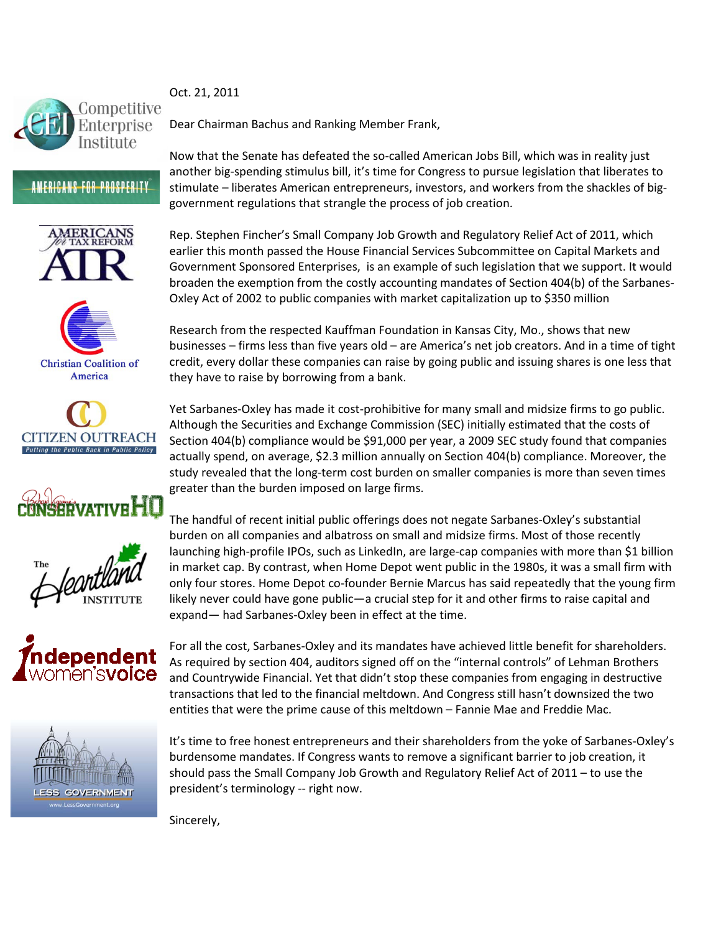

## Oct. 21, 2011

Dear Chairman Bachus and Ranking Member Frank,

Now that the Senate has defeated the so-called American Jobs Bill, which was in reality just another big-spending stimulus bill, it's time for Congress to pursue legislation that liberates to stimulate – liberates American entrepreneurs, investors, and workers from the shackles of biggovernment regulations that strangle the process of job creation.

Rep. Stephen Fincher's Small Company Job Growth and Regulatory Relief Act of 2011, which earlier this month passed the House Financial Services Subcommittee on Capital Markets and Government Sponsored Enterprises, is an example of such legislation that we support. It would broaden the exemption from the costly accounting mandates of Section 404(b) of the Sarbanes-Oxley Act of 2002 to public companies with market capitalization up to \$350 million

Research from the respected Kauffman Foundation in Kansas City, Mo., shows that new businesses – firms less than five years old – are America's net job creators. And in a time of tight credit, every dollar these companies can raise by going public and issuing shares is one less that they have to raise by borrowing from a bank.

Yet Sarbanes-Oxley has made it cost-prohibitive for many small and midsize firms to go public. Although the Securities and Exchange Commission (SEC) initially estimated that the costs of Section 404(b) compliance would be \$91,000 per year, a 2009 SEC study found that companies actually spend, on average, \$2.3 million annually on Section 404(b) compliance. Moreover, the study revealed that the long-term cost burden on smaller companies is more than seven times greater than the burden imposed on large firms.

The handful of recent initial public offerings does not negate Sarbanes-Oxley's substantial burden on all companies and albatross on small and midsize firms. Most of those recently launching high-profile IPOs, such as LinkedIn, are large-cap companies with more than \$1 billion in market cap. By contrast, when Home Depot went public in the 1980s, it was a small firm with only four stores. Home Depot co-founder Bernie Marcus has said repeatedly that the young firm likely never could have gone public—a crucial step for it and other firms to raise capital and expand— had Sarbanes-Oxley been in effect at the time.

For all the cost, Sarbanes-Oxley and its mandates have achieved little benefit for shareholders. As required by section 404, auditors signed off on the "internal controls" of Lehman Brothers and Countrywide Financial. Yet that didn't stop these companies from engaging in destructive transactions that led to the financial meltdown. And Congress still hasn't downsized the two entities that were the prime cause of this meltdown – Fannie Mae and Freddie Mac.

It's time to free honest entrepreneurs and their shareholders from the yoke of Sarbanes-Oxley's burdensome mandates. If Congress wants to remove a significant barrier to job creation, it should pass the Small Company Job Growth and Regulatory Relief Act of 2011 – to use the president's terminology -- right now.

Sincerely,

**ÆRIC** 

**AMERICANS FOR PROSPERITY** 













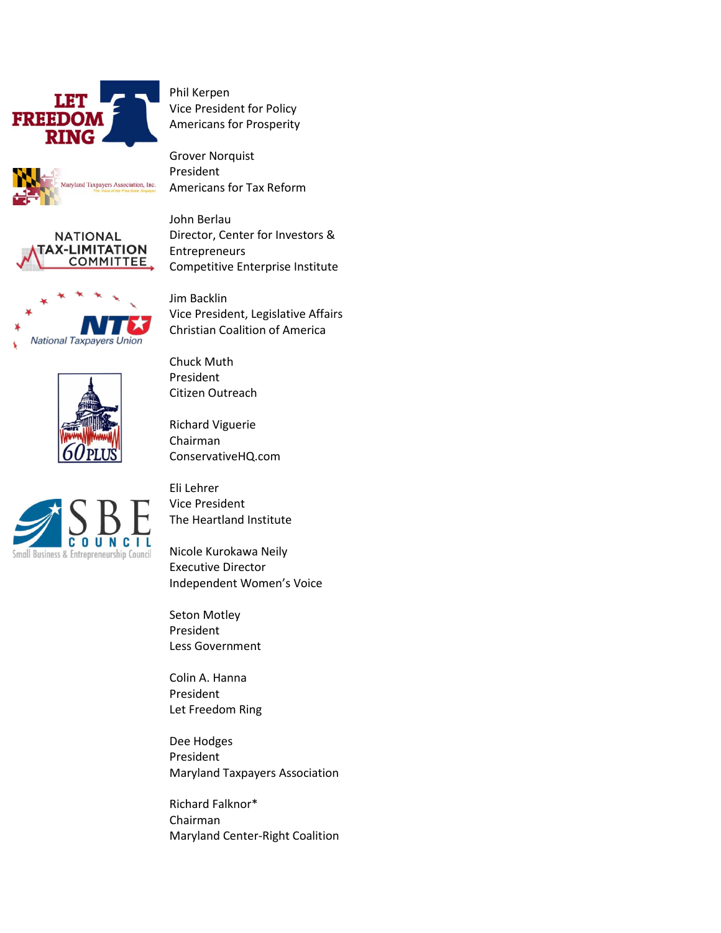

Phil Kerpen Vice President for Policy Americans for Prosperity





John Berlau Director, Center for Investors & Entrepreneurs Competitive Enterprise Institute

Vice President, Legislative Affairs Christian Coalition of America



Chuck Muth President Citizen Outreach

> Richard Viguerie Chairman ConservativeHQ.com

Jim Backlin



Eli Lehrer Vice President The Heartland Institute

Nicole Kurokawa Neily Executive Director Independent Women's Voice

Seton Motley President Less Government

Colin A. Hanna President Let Freedom Ring

Dee Hodges President Maryland Taxpayers Association

Richard Falknor\* Chairman Maryland Center-Right Coalition